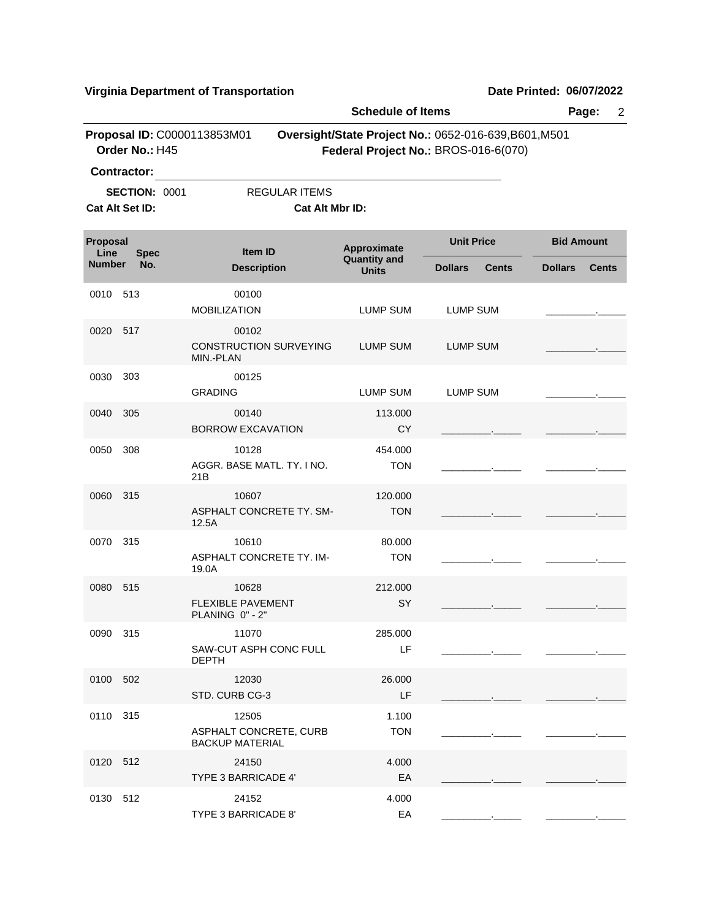| <b>Schedule of Items</b>        |                                                                                                                                                                      |                                                           |                                     |                                |                                |  |  |  |
|---------------------------------|----------------------------------------------------------------------------------------------------------------------------------------------------------------------|-----------------------------------------------------------|-------------------------------------|--------------------------------|--------------------------------|--|--|--|
|                                 | Proposal ID: C0000113853M01<br>Oversight/State Project No.: 0652-016-639, B601, M501<br>Order No.: H45<br>Federal Project No.: BROS-016-6(070)<br><b>Contractor:</b> |                                                           |                                     |                                |                                |  |  |  |
|                                 | <b>SECTION: 0001</b><br>Cat Alt Set ID:                                                                                                                              | <b>REGULAR ITEMS</b><br>Cat Alt Mbr ID:                   |                                     |                                |                                |  |  |  |
| Proposal<br>Line<br><b>Spec</b> |                                                                                                                                                                      | <b>Item ID</b>                                            | Approximate                         | <b>Unit Price</b>              | <b>Bid Amount</b>              |  |  |  |
| <b>Number</b>                   | No.                                                                                                                                                                  | <b>Description</b>                                        | <b>Quantity and</b><br><b>Units</b> | <b>Dollars</b><br><b>Cents</b> | <b>Dollars</b><br><b>Cents</b> |  |  |  |
| 0010                            | 513                                                                                                                                                                  | 00100<br><b>MOBILIZATION</b>                              | LUMP SUM                            | LUMP SUM                       |                                |  |  |  |
| 0020                            | 517                                                                                                                                                                  | 00102<br><b>CONSTRUCTION SURVEYING</b><br>MIN.-PLAN       | LUMP SUM                            | <b>LUMP SUM</b>                |                                |  |  |  |
| 0030                            | 303                                                                                                                                                                  | 00125<br><b>GRADING</b>                                   | <b>LUMP SUM</b>                     | <b>LUMP SUM</b>                |                                |  |  |  |
| 0040                            | 305                                                                                                                                                                  | 00140<br><b>BORROW EXCAVATION</b>                         | 113.000<br><b>CY</b>                |                                |                                |  |  |  |
| 0050                            | 308                                                                                                                                                                  | 10128<br>AGGR. BASE MATL. TY. I NO.<br>21B                | 454.000<br><b>TON</b>               |                                |                                |  |  |  |
| 0060                            | 315                                                                                                                                                                  | 10607<br>ASPHALT CONCRETE TY. SM-<br>12.5A                | 120.000<br><b>TON</b>               |                                |                                |  |  |  |
| 0070                            | 315                                                                                                                                                                  | 10610<br>ASPHALT CONCRETE TY. IM-<br>19.0A                | 80.000<br><b>TON</b>                |                                |                                |  |  |  |
| 0080                            | 515                                                                                                                                                                  | 10628<br><b>FLEXIBLE PAVEMENT</b><br>PLANING 0" - 2"      | 212.000<br>SY                       |                                |                                |  |  |  |
| 0090 315                        |                                                                                                                                                                      | 11070<br>SAW-CUT ASPH CONC FULL<br><b>DEPTH</b>           | 285.000<br>LF                       |                                |                                |  |  |  |
| 0100 502                        |                                                                                                                                                                      | 12030<br>STD. CURB CG-3                                   | 26,000<br>LF                        |                                |                                |  |  |  |
| 0110 315                        |                                                                                                                                                                      | 12505<br>ASPHALT CONCRETE, CURB<br><b>BACKUP MATERIAL</b> | 1.100<br><b>TON</b>                 |                                |                                |  |  |  |
| 0120 512                        |                                                                                                                                                                      | 24150<br>TYPE 3 BARRICADE 4'                              | 4.000<br>EA                         |                                |                                |  |  |  |
| 0130 512                        |                                                                                                                                                                      | 24152<br>TYPE 3 BARRICADE 8'                              | 4.000<br>EA                         |                                |                                |  |  |  |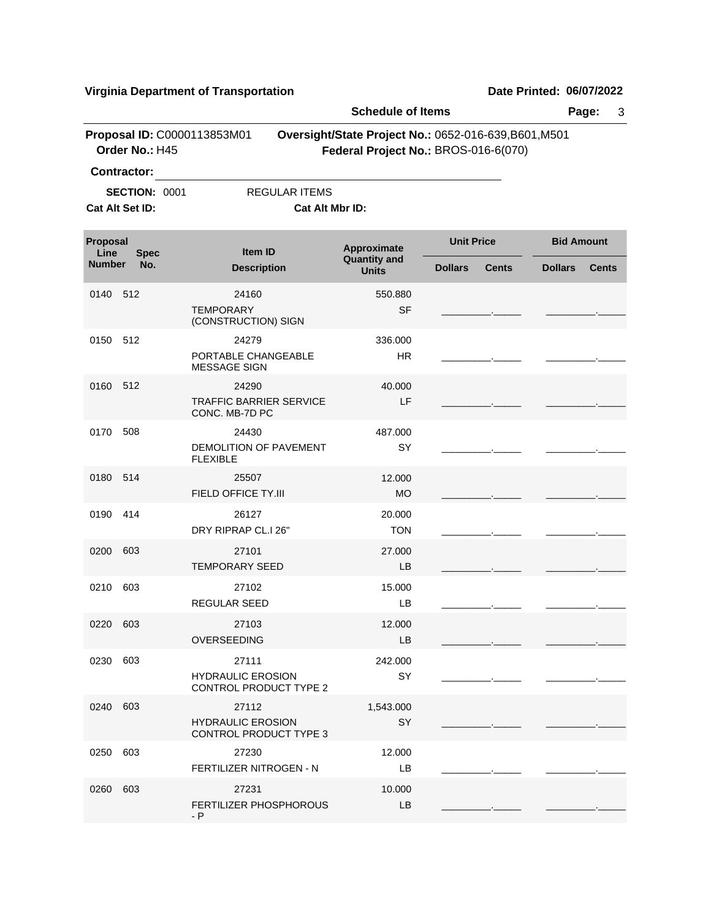- P

|                                               |                      | virginia Department or Transportation                              |                                                                                                                           |                |                   | Dale Fillited. VOIVIIZUZZ |                   |
|-----------------------------------------------|----------------------|--------------------------------------------------------------------|---------------------------------------------------------------------------------------------------------------------------|----------------|-------------------|---------------------------|-------------------|
| Proposal ID: C0000113853M01<br>Order No.: H45 |                      |                                                                    | <b>Schedule of Items</b><br>Oversight/State Project No.: 0652-016-639, B601, M501<br>Federal Project No.: BROS-016-6(070) |                |                   | Page:<br>3                |                   |
| <b>Contractor:</b>                            |                      |                                                                    |                                                                                                                           |                |                   |                           |                   |
| Cat Alt Set ID:                               | <b>SECTION: 0001</b> | <b>REGULAR ITEMS</b>                                               | Cat Alt Mbr ID:                                                                                                           |                |                   |                           |                   |
| Proposal                                      |                      | <b>Item ID</b><br><b>Spec</b><br><b>Description</b>                | <b>Approximate</b>                                                                                                        |                | <b>Unit Price</b> |                           | <b>Bid Amount</b> |
| Line<br><b>Number</b>                         | No.                  |                                                                    | <b>Quantity and</b><br><b>Units</b>                                                                                       | <b>Dollars</b> | <b>Cents</b>      | <b>Dollars</b>            | <b>Cents</b>      |
| 0140                                          | 512                  | 24160<br><b>TEMPORARY</b><br>(CONSTRUCTION) SIGN                   | 550.880<br><b>SF</b>                                                                                                      |                |                   |                           |                   |
| 0150                                          | 512                  | 24279<br>PORTABLE CHANGEABLE<br><b>MESSAGE SIGN</b>                | 336,000<br>HR.                                                                                                            |                |                   |                           |                   |
| 0160                                          | 512                  | 24290<br><b>TRAFFIC BARRIER SERVICE</b><br>CONC. MB-7D PC          | 40.000<br>LF                                                                                                              |                |                   |                           |                   |
| 0170                                          | 508                  | 24430<br>DEMOLITION OF PAVEMENT<br><b>FLEXIBLE</b>                 | 487.000<br>SY                                                                                                             |                |                   |                           |                   |
| 0180                                          | 514                  | 25507<br>FIELD OFFICE TY.III                                       | 12.000<br><b>MO</b>                                                                                                       |                |                   |                           |                   |
| 0190                                          | 414                  | 26127<br>DRY RIPRAP CL.I 26"                                       | 20.000<br><b>TON</b>                                                                                                      |                |                   |                           |                   |
| 0200                                          | 603                  | 27101<br><b>TEMPORARY SEED</b>                                     | 27.000<br>LB                                                                                                              |                |                   |                           |                   |
| 0210                                          | 603                  | 27102<br>REGULAR SEED                                              | 15.000<br>LB                                                                                                              |                |                   |                           |                   |
| 0220 603                                      |                      | 27103<br><b>OVERSEEDING</b>                                        | 12.000<br>LB                                                                                                              |                |                   |                           |                   |
| 0230                                          | 603                  | 27111<br><b>HYDRAULIC EROSION</b><br>CONTROL PRODUCT TYPE 2        | 242.000<br>SY                                                                                                             |                |                   |                           |                   |
| 0240                                          | 603                  | 27112<br><b>HYDRAULIC EROSION</b><br><b>CONTROL PRODUCT TYPE 3</b> | 1,543.000<br>SY                                                                                                           |                |                   |                           |                   |
| 0250                                          | 603                  | 27230<br>FERTILIZER NITROGEN - N                                   | 12.000<br>LВ                                                                                                              |                |                   |                           |                   |
| 0260                                          | 603                  | 27231<br>FERTILIZER PHOSPHOROUS                                    | 10.000<br>LB                                                                                                              |                |                   |                           |                   |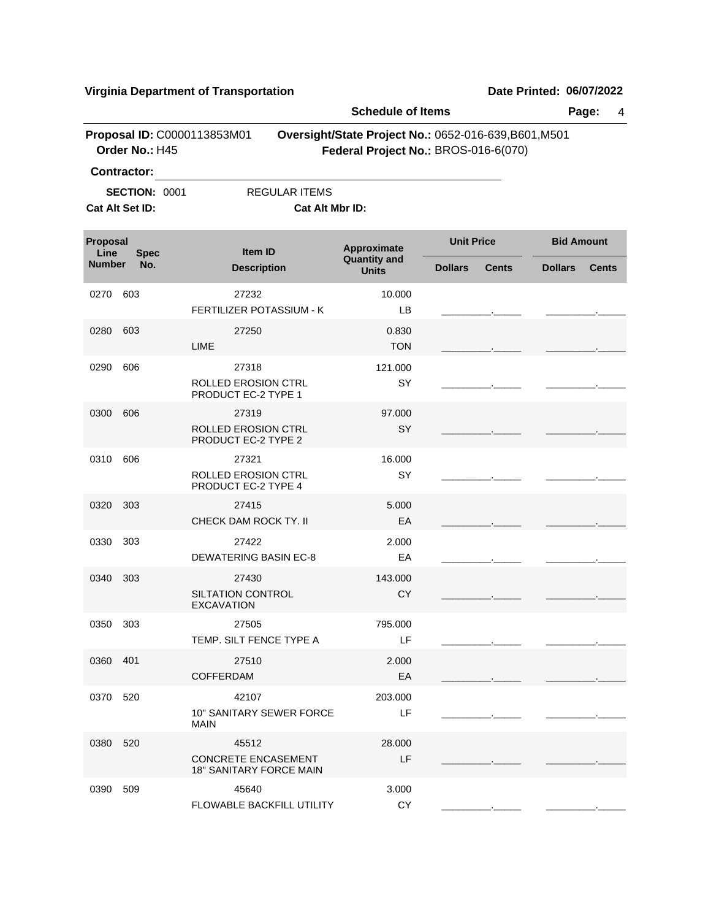|                                 |                                               |                                                                       | <b>Schedule of Items</b>                                                                      |                   |              |                   | Page:<br>4   |  |  |
|---------------------------------|-----------------------------------------------|-----------------------------------------------------------------------|-----------------------------------------------------------------------------------------------|-------------------|--------------|-------------------|--------------|--|--|
|                                 | Proposal ID: C0000113853M01<br>Order No.: H45 |                                                                       | Oversight/State Project No.: 0652-016-639, B601, M501<br>Federal Project No.: BROS-016-6(070) |                   |              |                   |              |  |  |
|                                 | <b>Contractor:</b>                            |                                                                       |                                                                                               |                   |              |                   |              |  |  |
|                                 | <b>SECTION: 0001</b>                          | <b>REGULAR ITEMS</b>                                                  |                                                                                               |                   |              |                   |              |  |  |
|                                 | Cat Alt Set ID:<br>Cat Alt Mbr ID:            |                                                                       |                                                                                               |                   |              |                   |              |  |  |
| Proposal<br>Line<br><b>Spec</b> |                                               | <b>Item ID</b>                                                        | Approximate                                                                                   | <b>Unit Price</b> |              | <b>Bid Amount</b> |              |  |  |
| <b>Number</b>                   | No.                                           | <b>Description</b>                                                    | <b>Quantity and</b><br><b>Units</b>                                                           | <b>Dollars</b>    | <b>Cents</b> | <b>Dollars</b>    | <b>Cents</b> |  |  |
| 0270                            | 603                                           | 27232                                                                 | 10.000                                                                                        |                   |              |                   |              |  |  |
|                                 |                                               | FERTILIZER POTASSIUM - K                                              | LB                                                                                            |                   |              |                   |              |  |  |
| 0280                            | 603                                           | 27250<br><b>LIME</b>                                                  | 0.830<br><b>TON</b>                                                                           |                   |              |                   |              |  |  |
| 0290                            | 606                                           | 27318                                                                 | 121.000                                                                                       |                   |              |                   |              |  |  |
|                                 |                                               | ROLLED EROSION CTRL<br>PRODUCT EC-2 TYPE 1                            | SY                                                                                            |                   |              |                   |              |  |  |
| 0300                            | 606                                           | 27319                                                                 | 97.000                                                                                        |                   |              |                   |              |  |  |
|                                 |                                               | ROLLED EROSION CTRL<br>PRODUCT EC-2 TYPE 2                            | SY                                                                                            |                   |              |                   |              |  |  |
| 0310                            | 606                                           | 27321<br><b>ROLLED EROSION CTRL</b><br>PRODUCT EC-2 TYPE 4            | 16.000<br>SY                                                                                  |                   |              |                   |              |  |  |
| 0320                            | 303                                           | 27415                                                                 | 5.000                                                                                         |                   |              |                   |              |  |  |
|                                 |                                               | CHECK DAM ROCK TY. II                                                 | EA                                                                                            |                   |              |                   |              |  |  |
| 0330                            | 303                                           | 27422                                                                 | 2.000                                                                                         |                   |              |                   |              |  |  |
|                                 |                                               | <b>DEWATERING BASIN EC-8</b>                                          | EA                                                                                            |                   |              |                   |              |  |  |
| 0340                            | 303                                           | 27430<br>SILTATION CONTROL<br><b>EXCAVATION</b>                       | 143.000<br><b>CY</b>                                                                          |                   |              |                   |              |  |  |
| 0350 303                        |                                               | 27505                                                                 | 795.000                                                                                       |                   |              |                   |              |  |  |
|                                 |                                               | TEMP. SILT FENCE TYPE A                                               | LF.                                                                                           |                   |              |                   |              |  |  |
| 0360 401                        |                                               | 27510<br><b>COFFERDAM</b>                                             | 2.000<br>EA                                                                                   |                   |              |                   |              |  |  |
| 0370 520                        |                                               | 42107<br>10" SANITARY SEWER FORCE<br>MAIN                             | 203.000<br>LF.                                                                                |                   |              |                   |              |  |  |
| 0380 520                        |                                               | 45512<br><b>CONCRETE ENCASEMENT</b><br><b>18" SANITARY FORCE MAIN</b> | 28.000<br>LF                                                                                  |                   |              |                   |              |  |  |
| 0390 509                        |                                               | 45640<br>FLOWABLE BACKFILL UTILITY                                    | 3.000<br><b>CY</b>                                                                            |                   |              |                   |              |  |  |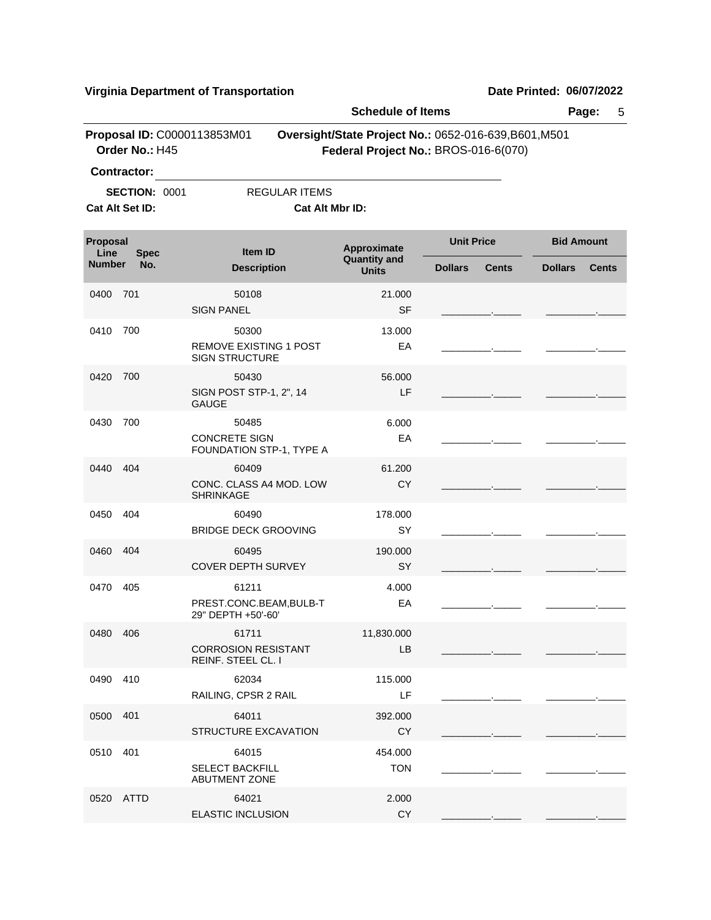| <b>Virginia Department of Transportation</b> |                      |                                                                 |                                                                                               |                   |              | Date Printed: 06/07/2022 |              |  |  |
|----------------------------------------------|----------------------|-----------------------------------------------------------------|-----------------------------------------------------------------------------------------------|-------------------|--------------|--------------------------|--------------|--|--|
|                                              |                      |                                                                 | <b>Schedule of Items</b>                                                                      |                   |              |                          | Page:<br>5   |  |  |
| <b>Contractor:</b>                           | Order No.: H45       | Proposal ID: C0000113853M01                                     | Oversight/State Project No.: 0652-016-639, B601, M501<br>Federal Project No.: BROS-016-6(070) |                   |              |                          |              |  |  |
|                                              |                      |                                                                 |                                                                                               |                   |              |                          |              |  |  |
| Cat Alt Set ID:                              | <b>SECTION: 0001</b> | <b>REGULAR ITEMS</b><br>Cat Alt Mbr ID:                         |                                                                                               |                   |              |                          |              |  |  |
| Proposal<br>Line                             | <b>Spec</b>          | Item ID<br><b>Description</b>                                   | Approximate<br><b>Quantity and</b><br><b>Units</b>                                            | <b>Unit Price</b> |              | <b>Bid Amount</b>        |              |  |  |
| <b>Number</b>                                | No.                  |                                                                 |                                                                                               | <b>Dollars</b>    | <b>Cents</b> | <b>Dollars</b>           | <b>Cents</b> |  |  |
| 0400                                         | 701                  | 50108<br><b>SIGN PANEL</b>                                      | 21.000<br>SF                                                                                  |                   |              |                          |              |  |  |
| 0410                                         | 700                  | 50300<br><b>REMOVE EXISTING 1 POST</b><br><b>SIGN STRUCTURE</b> | 13.000<br>EA                                                                                  |                   |              |                          |              |  |  |
| 0420                                         | 700                  | 50430<br>SIGN POST STP-1, 2", 14<br><b>GAUGE</b>                | 56.000<br>LF                                                                                  |                   |              |                          |              |  |  |
| 0430                                         | 700                  | 50485<br><b>CONCRETE SIGN</b><br>FOUNDATION STP-1, TYPE A       | 6.000<br>EA                                                                                   |                   |              |                          |              |  |  |
| 0440                                         | 404                  | 60409<br>CONC. CLASS A4 MOD. LOW<br><b>SHRINKAGE</b>            | 61.200<br><b>CY</b>                                                                           |                   |              |                          |              |  |  |
| 0450                                         | 404                  | 60490<br><b>BRIDGE DECK GROOVING</b>                            | 178.000<br>SY                                                                                 |                   |              |                          |              |  |  |
| 0460                                         | 404                  | 60495<br><b>COVER DEPTH SURVEY</b>                              | 190.000<br>SY                                                                                 |                   |              |                          |              |  |  |
| 0470                                         | 405                  | 61211<br>PREST.CONC.BEAM, BULB-T<br>29" DEPTH +50'-60'          | 4.000<br>EA                                                                                   |                   |              |                          |              |  |  |
| 0480                                         | 406                  | 61711<br><b>CORROSION RESISTANT</b><br>REINF. STEEL CL. I       | 11,830.000<br>LB                                                                              |                   |              |                          |              |  |  |
| 0490                                         | 410                  | 62034<br>RAILING, CPSR 2 RAIL                                   | 115.000<br>LF                                                                                 |                   |              |                          |              |  |  |
| 0500                                         | 401                  | 64011<br>STRUCTURE EXCAVATION                                   | 392.000<br><b>CY</b>                                                                          |                   |              |                          |              |  |  |
| 0510                                         | 401                  | 64015<br><b>SELECT BACKFILL</b><br><b>ABUTMENT ZONE</b>         | 454.000<br><b>TON</b>                                                                         |                   |              |                          |              |  |  |
| 0520 ATTD                                    |                      | 64021<br>ELASTIC INCLUSION                                      | 2.000<br>CY                                                                                   |                   |              |                          |              |  |  |